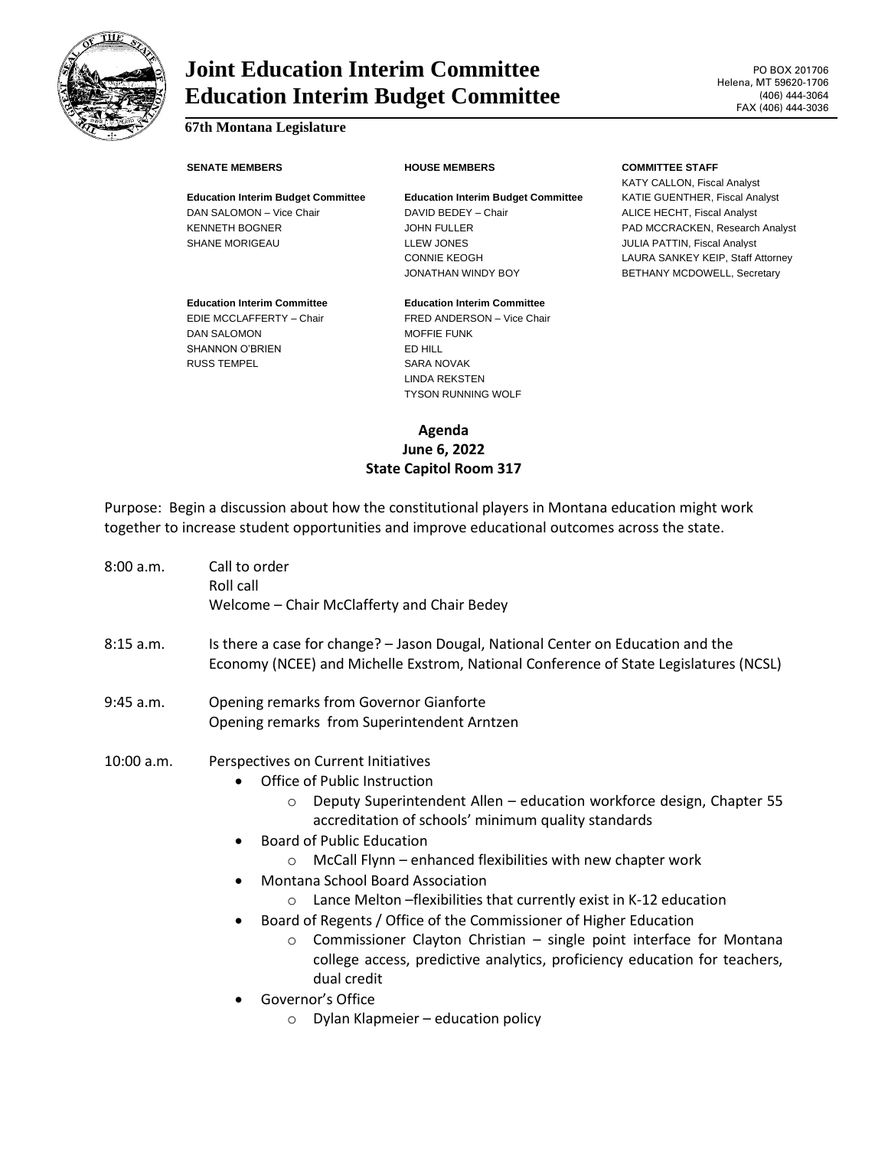

# **Joint Education Interim Committee Education Interim Budget Committee**

## **67th Montana Legislature**

## **Education Interim Budget Committee Education Interim Budget Committee** KATIE GUENTHER, Fiscal Analyst DAN SALOMON – Vice Chair **DAVID BEDEY – Chair DAVID BEDEY – Chair** ALICE HECHT, Fiscal Analyst KENNETH BOGNER GEREEN JOHN FULLER PAD MCCRACKEN, Research Analyst SHANE MORIGEAU **LLEW JONES CONSIDER A LLEW SHANE MORIGEAU LLEW JONES CONSIDER A** LOCAL CONSIDERATION, Fiscal Analyst

## **Education Interim Committee Education Interim Committee** DAN SALOMON MOFFIE FUNK SHANNON O'BRIEN ED HILL

### **SENATE MEMBERS HOUSE MEMBERS COMMITTEE STAFF**

KATY CALLON, Fiscal Analyst CONNIE KEOGH LAURA SANKEY KEIP, Staff Attorney JONATHAN WINDY BOY BETHANY MCDOWELL, Secretary

# EDIE MCCLAFFERTY – Chair FRED ANDERSON – Vice Chair RUSS TEMPEL SARA NOVAK LINDA REKSTEN

TYSON RUNNING WOLF

**Agenda June 6, 2022 State Capitol Room 317**

Purpose: Begin a discussion about how the constitutional players in Montana education might work together to increase student opportunities and improve educational outcomes across the state.

| 8:00 a.m.   | Call to order<br>Roll call<br>Welcome - Chair McClafferty and Chair Bedey                                                                                                                                                                                                                                                                                                                                                                                                                                                                                                                                                                                                                                                                                                          |
|-------------|------------------------------------------------------------------------------------------------------------------------------------------------------------------------------------------------------------------------------------------------------------------------------------------------------------------------------------------------------------------------------------------------------------------------------------------------------------------------------------------------------------------------------------------------------------------------------------------------------------------------------------------------------------------------------------------------------------------------------------------------------------------------------------|
| 8:15a.m.    | Is there a case for change? - Jason Dougal, National Center on Education and the<br>Economy (NCEE) and Michelle Exstrom, National Conference of State Legislatures (NCSL)                                                                                                                                                                                                                                                                                                                                                                                                                                                                                                                                                                                                          |
| $9:45$ a.m. | Opening remarks from Governor Gianforte<br>Opening remarks from Superintendent Arntzen                                                                                                                                                                                                                                                                                                                                                                                                                                                                                                                                                                                                                                                                                             |
| 10:00 a.m.  | Perspectives on Current Initiatives<br>Office of Public Instruction<br>Deputy Superintendent Allen - education workforce design, Chapter 55<br>$\circ$<br>accreditation of schools' minimum quality standards<br><b>Board of Public Education</b><br>McCall Flynn - enhanced flexibilities with new chapter work<br>$\Omega$<br><b>Montana School Board Association</b><br>Lance Melton - flexibilities that currently exist in K-12 education<br>$\circ$<br>Board of Regents / Office of the Commissioner of Higher Education<br>Commissioner Clayton Christian - single point interface for Montana<br>$\circ$<br>college access, predictive analytics, proficiency education for teachers,<br>dual credit<br>Governor's Office<br>Dylan Klapmeier - education policy<br>$\circ$ |